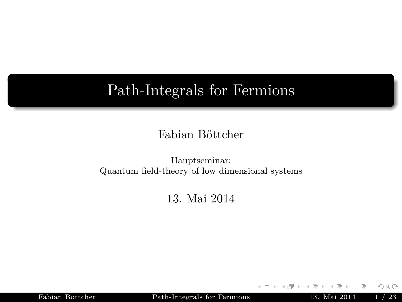## <span id="page-0-0"></span>Path-Integrals for Fermions

#### Fabian Böttcher

#### Hauptseminar: Quantum field-theory of low dimensional systems

#### 13. Mai 2014

Fabian Böttcher [Path-Integrals for Fermions](#page-70-0) 13. Mai 2014 1 / 23

 $\leftarrow$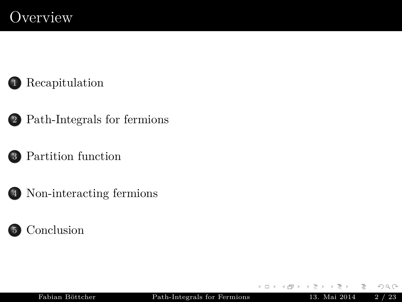## **Overview**



- 2 [Path-Integrals for fermions](#page-18-0)
- 3 [Partition function](#page-32-0)
- 4 [Non-interacting fermions](#page-43-0)



 $\leftarrow$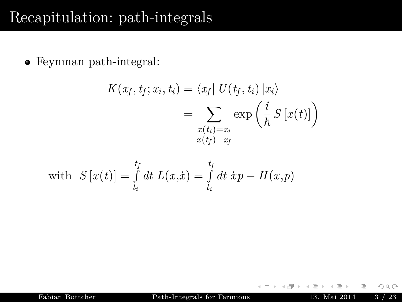## <span id="page-2-0"></span>Recapitulation: path-integrals

Feynman path-integral:

$$
K(x_f, t_f; x_i, t_i) = \langle x_f | U(t_f, t_i) | x_i \rangle
$$
  
= 
$$
\sum_{\substack{x(t_i) = x_i \\ x(t_f) = x_f}} \exp \left( \frac{i}{\hbar} S[x(t)] \right)
$$

with 
$$
S[x(t)] = \int_{t_i}^{t_f} dt L(x, \dot{x}) = \int_{t_i}^{t_f} dt \dot{x}p - H(x, p)
$$

Fabian Böttcher [Path-Integrals for Fermions](#page-0-0) 13. Mai 2014 3 / 23

 $\leftarrow$   $\Box$   $\rightarrow$ 

E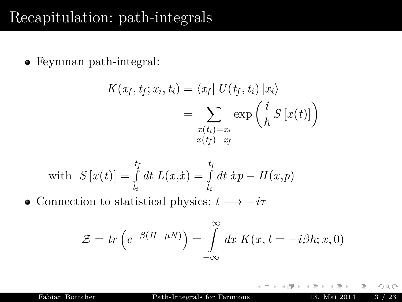Feynman path-integral:

$$
K(x_f, t_f; x_i, t_i) = \langle x_f | U(t_f, t_i) | x_i \rangle
$$
  
= 
$$
\sum_{\substack{x(t_i) = x_i \\ x(t_f) = x_f}} \exp \left( \frac{i}{\hbar} S[x(t)] \right)
$$

with 
$$
S[x(t)] = \int_{t_i}^{t_f} dt \ L(x, \dot{x}) = \int_{t_i}^{t_f} dt \ \dot{x}p - H(x, p)
$$

• Connection to statistical physics:  $t \rightarrow -i\tau$ 

$$
\mathcal{Z} = tr\left(e^{-\beta(H-\mu N)}\right) = \int_{-\infty}^{\infty} dx \ K(x, t = -i\beta\hbar; x, 0)
$$

 $\leftarrow$ 

Fabian Böttcher [Path-Integrals for Fermions](#page-0-0) 13. Mai 2014 3 / 23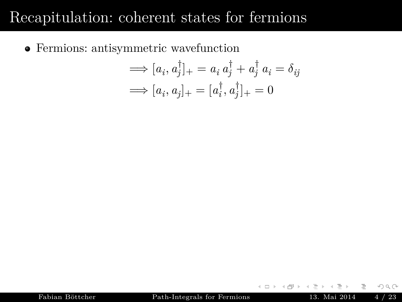Fermions: antisymmetric wavefunction

$$
\implies [a_i, a_j^{\dagger}]_+ = a_i a_j^{\dagger} + a_j^{\dagger} a_i = \delta_{ij}
$$

$$
\implies [a_i, a_j]_+ = [a_i^{\dagger}, a_j^{\dagger}]_+ = 0
$$

 $\leftarrow$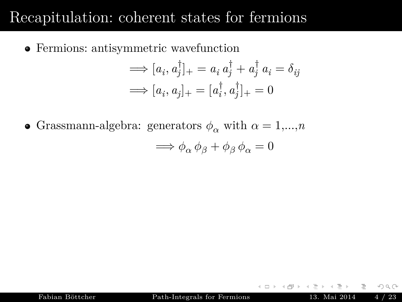Fermions: antisymmetric wavefunction

$$
\implies [a_i, a_j^{\dagger}]_+ = a_i a_j^{\dagger} + a_j^{\dagger} a_i = \delta_{ij}
$$

$$
\implies [a_i, a_j]_+ = [a_i^{\dagger}, a_j^{\dagger}]_+ = 0
$$

• Grassmann-algebra: generators  $\phi_{\alpha}$  with  $\alpha = 1,...,n$ 

$$
\Longrightarrow \phi_\alpha \, \phi_\beta + \phi_\beta \, \phi_\alpha = 0
$$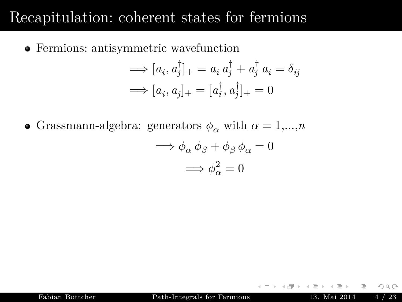Fermions: antisymmetric wavefunction

$$
\implies [a_i, a_j^{\dagger}]_+ = a_i a_j^{\dagger} + a_j^{\dagger} a_i = \delta_{ij}
$$

$$
\implies [a_i, a_j]_+ = [a_i^{\dagger}, a_j^{\dagger}]_+ = 0
$$

• Grassmann-algebra: generators  $\phi_{\alpha}$  with  $\alpha = 1,...,n$ 

$$
\implies \phi_{\alpha} \phi_{\beta} + \phi_{\beta} \phi_{\alpha} = 0
$$

$$
\implies \phi_{\alpha}^{2} = 0
$$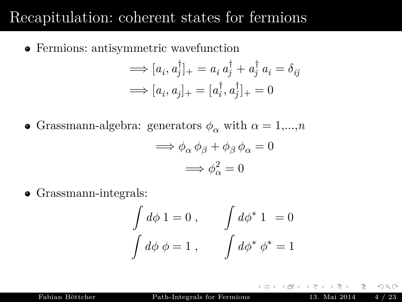Fermions: antisymmetric wavefunction

$$
\implies [a_i, a_j^{\dagger}]_+ = a_i a_j^{\dagger} + a_j^{\dagger} a_i = \delta_{ij}
$$

$$
\implies [a_i, a_j]_+ = [a_i^{\dagger}, a_j^{\dagger}]_+ = 0
$$

• Grassmann-algebra: generators  $\phi_{\alpha}$  with  $\alpha = 1,...,n$ 

$$
\implies \phi_{\alpha} \phi_{\beta} + \phi_{\beta} \phi_{\alpha} = 0
$$

$$
\implies \phi_{\alpha}^{2} = 0
$$

• Grassmann-integrals:

$$
\int d\phi \, 1 = 0 , \qquad \int d\phi^* \, 1 = 0
$$

$$
\int d\phi \, \phi = 1 , \qquad \int d\phi^* \, \phi^* = 1
$$

Fabian Böttcher [Path-Integrals for Fermions](#page-0-0) 13. Mai 2014 4 / 23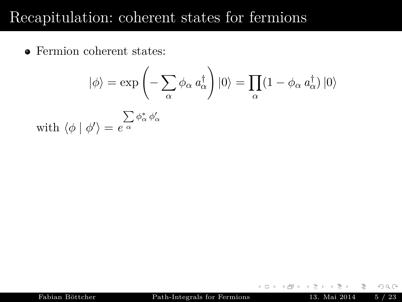• Fermion coherent states:

$$
|\phi\rangle = \exp\left(-\sum_{\alpha} \phi_{\alpha} a_{\alpha}^{\dagger}\right)|0\rangle = \prod_{\alpha} (1 - \phi_{\alpha} a_{\alpha}^{\dagger})|0\rangle
$$
  
with  $\langle \phi | \phi' \rangle = e^{\alpha \over \alpha} \phi_{\alpha}^* \phi_{\alpha}'$ 

 $\leftarrow$   $\Box$   $\rightarrow$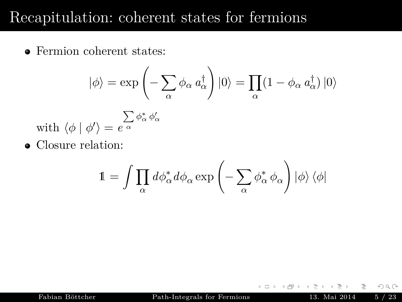• Fermion coherent states:

$$
\left|\phi\right\rangle = \exp\left(-\sum_{\alpha} \phi_{\alpha} a_{\alpha}^{\dagger}\right)\left|0\right\rangle = \prod_{\alpha} (1-\phi_{\alpha} a_{\alpha}^{\dagger})\left|0\right\rangle
$$

with 
$$
\langle \phi | \phi' \rangle = e^{\sum_{\alpha} \phi_{\alpha}^* \phi_{\alpha}'}
$$

Closure relation:

$$
\mathbb{1}=\int \prod_{\alpha} d\phi_{\alpha}^* d\phi_{\alpha} \exp\left(-\sum_{\alpha} \phi_{\alpha}^* \phi_{\alpha}\right) \left| \phi \right\rangle \left\langle \phi \right|
$$

 ${\bf Fabian~B\"{o}tther}~~{\bf Path-Integrals~for~Fermions}~~13.~{\bf Mai~2014}~~5~/~23$ 

 $\leftarrow$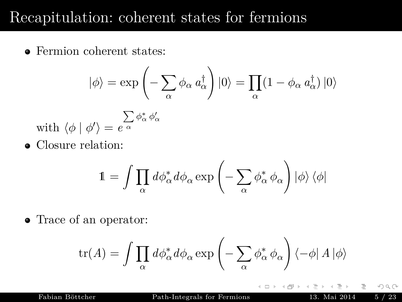• Fermion coherent states:

$$
\left|\phi\right\rangle = \exp\left(-\sum_{\alpha} \phi_{\alpha} a_{\alpha}^{\dagger}\right)\left|0\right\rangle = \prod_{\alpha} (1-\phi_{\alpha} a_{\alpha}^{\dagger})\left|0\right\rangle
$$

with 
$$
\langle \phi | \phi' \rangle = e^{\sum_{\alpha} \phi_{\alpha}^* \phi_{\alpha}'}
$$

Closure relation:

$$
\mathbb{1}=\int\prod_{\alpha}d\phi_{\alpha}^*d\phi_{\alpha}\exp\left(-\sum_{\alpha}\phi_{\alpha}^*\,\phi_{\alpha}\right)\left|\phi\right\rangle\left\langle\phi\right|
$$

• Trace of an operator:

$$
\mathrm{tr}(A) = \int \prod_\alpha d\phi^*_\alpha d\phi_\alpha \exp\left(-\sum_\alpha \phi^*_\alpha\,\phi_\alpha\right)\left\langle -\phi\right| A \left|\phi\right\rangle
$$

 $\leftarrow$ 

Fabian Böttcher [Path-Integrals for Fermions](#page-0-0) 13. Mai 2014 5 / 23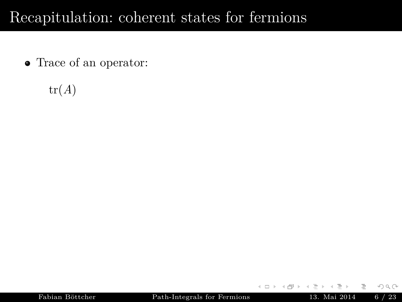• Trace of an operator:

 $tr(A)$ 

 $\leftarrow$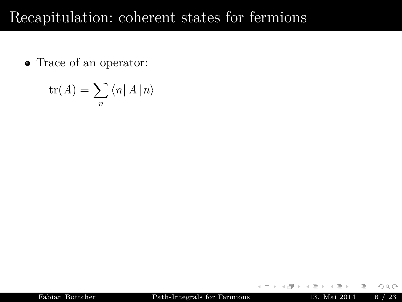• Trace of an operator:

$$
\operatorname{tr}(A) = \sum_{n} \langle n | A | n \rangle
$$

 $\leftarrow$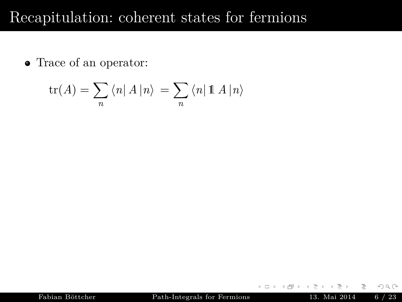• Trace of an operator:

$$
\operatorname{tr}(A) = \sum_{n} \langle n | A | n \rangle = \sum_{n} \langle n | 1 \, 1 \, 1 \rangle
$$

 $\leftarrow$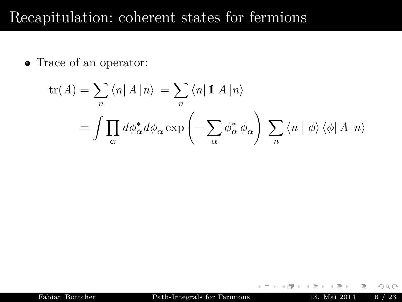• Trace of an operator:

$$
\operatorname{tr}(A) = \sum_{n} \langle n | A | n \rangle = \sum_{n} \langle n | \mathbf{1} A | n \rangle
$$

$$
= \int \prod_{\alpha} d\phi_{\alpha}^{*} d\phi_{\alpha} \exp\left(-\sum_{\alpha} \phi_{\alpha}^{*} \phi_{\alpha}\right) \sum_{n} \langle n | \phi \rangle \langle \phi | A | n \rangle
$$

 $\leftarrow$   $\Box$   $\rightarrow$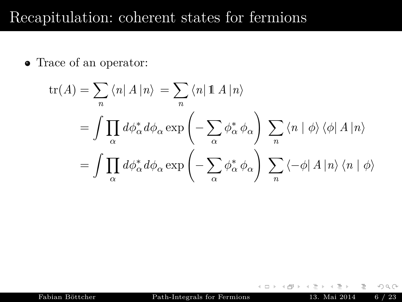• Trace of an operator:

$$
\text{tr}(A) = \sum_{n} \langle n | A | n \rangle = \sum_{n} \langle n | \mathbb{1} A | n \rangle
$$
  
= 
$$
\int \prod_{\alpha} d\phi_{\alpha}^{*} d\phi_{\alpha} \exp \left( - \sum_{\alpha} \phi_{\alpha}^{*} \phi_{\alpha} \right) \sum_{n} \langle n | \phi \rangle \langle \phi | A | n \rangle
$$
  
= 
$$
\int \prod_{\alpha} d\phi_{\alpha}^{*} d\phi_{\alpha} \exp \left( - \sum_{\alpha} \phi_{\alpha}^{*} \phi_{\alpha} \right) \sum_{n} \langle -\phi | A | n \rangle \langle n | \phi \rangle
$$

 $\leftarrow$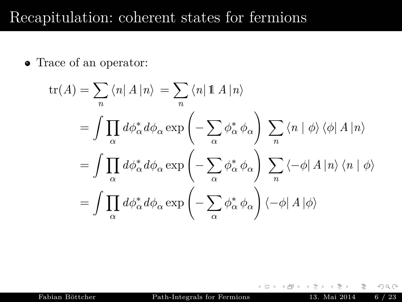• Trace of an operator:

$$
\text{tr}(A) = \sum_{n} \langle n | A | n \rangle = \sum_{n} \langle n | \mathbb{1} A | n \rangle
$$
  
=  $\int \prod_{\alpha} d\phi_{\alpha}^{*} d\phi_{\alpha} \exp \left( - \sum_{\alpha} \phi_{\alpha}^{*} \phi_{\alpha} \right) \sum_{n} \langle n | \phi \rangle \langle \phi | A | n \rangle$   
=  $\int \prod_{\alpha} d\phi_{\alpha}^{*} d\phi_{\alpha} \exp \left( - \sum_{\alpha} \phi_{\alpha}^{*} \phi_{\alpha} \right) \sum_{n} \langle -\phi | A | n \rangle \langle n | \phi \rangle$   
=  $\int \prod_{\alpha} d\phi_{\alpha}^{*} d\phi_{\alpha} \exp \left( - \sum_{\alpha} \phi_{\alpha}^{*} \phi_{\alpha} \right) \langle -\phi | A | \phi \rangle$ 

 $\leftarrow$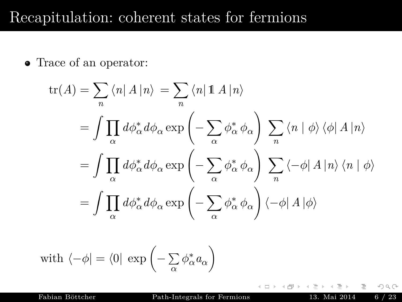• Trace of an operator:

$$
\begin{split} \text{tr}(A) &= \sum_{n} \langle n | A | n \rangle = \sum_{n} \langle n | \mathop{\mathbb{1}} A | n \rangle \\ &= \int \prod_{\alpha} d\phi_{\alpha}^{*} d\phi_{\alpha} \exp\left(-\sum_{\alpha} \phi_{\alpha}^{*} \phi_{\alpha}\right) \sum_{n} \langle n | \phi \rangle \langle \phi | A | n \rangle \\ &= \int \prod_{\alpha} d\phi_{\alpha}^{*} d\phi_{\alpha} \exp\left(-\sum_{\alpha} \phi_{\alpha}^{*} \phi_{\alpha}\right) \sum_{n} \langle -\phi | A | n \rangle \langle n | \phi \rangle \\ &= \int \prod_{\alpha} d\phi_{\alpha}^{*} d\phi_{\alpha} \exp\left(-\sum_{\alpha} \phi_{\alpha}^{*} \phi_{\alpha}\right) \langle -\phi | A | \phi \rangle \end{split}
$$

with 
$$
\langle -\phi | = \langle 0 | \exp \left(-\sum_{\alpha} \phi_{\alpha}^* a_{\alpha}\right)
$$

 $\leftarrow$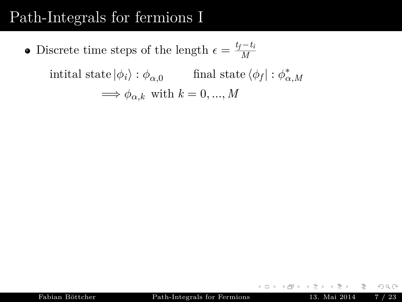## <span id="page-18-0"></span>Path-Integrals for fermions I

Discrete time steps of the length  $\epsilon = \frac{t_f - t_i}{M}$ *M*

> $\text{initial state } |\phi_i\rangle : \phi_{\alpha,0}$  final state  $\langle \phi_f | : \phi_{\alpha,M}^* \rangle$  $\Longrightarrow \phi_{\alpha,k}$  with  $k = 0, ..., M$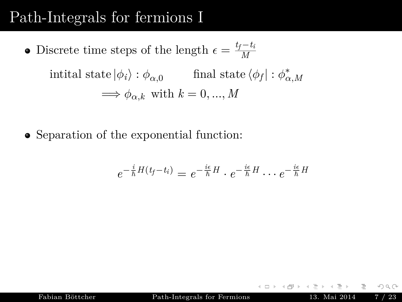## Path-Integrals for fermions I

- Discrete time steps of the length  $\epsilon = \frac{t_f t_i}{M}$ *M*  $\text{initial state } |\phi_i\rangle : \phi_{\alpha,0}$  final state  $\langle \phi_f | : \phi_{\alpha,M}^* \rangle$  $\Longrightarrow \phi_{\alpha,k}$  with  $k = 0, ..., M$
- Separation of the exponential function:

$$
e^{-\frac{i}{\hbar}H(t_f-t_i)}=e^{-\frac{i\epsilon}{\hbar}H}\cdot e^{-\frac{i\epsilon}{\hbar}H}\cdots e^{-\frac{i\epsilon}{\hbar}H}
$$

Fabian Böttcher [Path-Integrals for Fermions](#page-0-0) 13. Mai 2014 7 / 23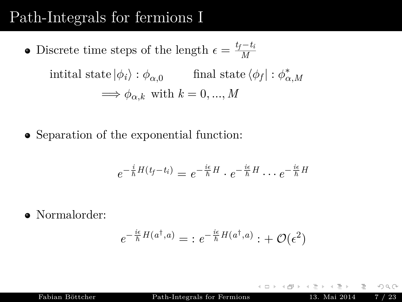## Path-Integrals for fermions I

- Discrete time steps of the length  $\epsilon = \frac{t_f t_i}{M}$ *M*  $\text{initial state } |\phi_i\rangle : \phi_{\alpha,0}$  final state  $\langle \phi_f | : \phi_{\alpha,M}^* \rangle$  $\implies \phi_{\alpha,k}$  with  $k = 0, ..., M$
- Separation of the exponential function:

$$
e^{-\frac{i}{\hbar}H(t_f-t_i)}=e^{-\frac{i\epsilon}{\hbar}H}\cdot e^{-\frac{i\epsilon}{\hbar}H}\cdot\cdot\cdot e^{-\frac{i\epsilon}{\hbar}H}
$$

Normalorder:

$$
e^{-\frac{i\epsilon}{\hbar}H(a^\dagger,a)} = : e^{-\frac{i\epsilon}{\hbar}H(a^\dagger,a)}: + \mathcal{O}(\epsilon^2)
$$

Fabian Böttcher [Path-Integrals for Fermions](#page-0-0) 13. Mai 2014 7 / 23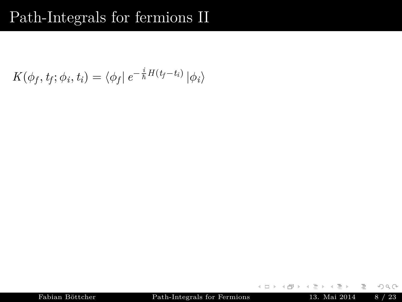## Path-Integrals for fermions II

$$
K(\phi_f, t_f; \phi_i, t_i) = \langle \phi_f | e^{-\frac{i}{\hbar}H(t_f - t_i)} | \phi_i \rangle
$$

 $\begin{array}{ccc} \leftarrow & \text{ } & \text{ } & \text{ } & \text{ } \end{array}$ 

 $\prec$  $\mathbb{R}^2$ 

Fabian Böttcher [Path-Integrals for Fermions](#page-0-0) 13. Mai 2014  $8 / 23$ 

≞

言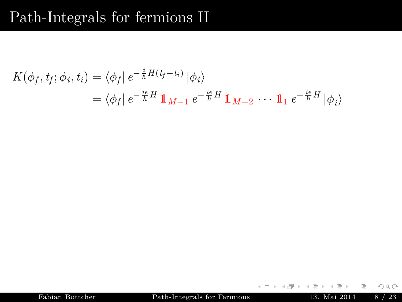## Path-Integrals for fermions II

$$
K(\phi_f, t_f; \phi_i, t_i) = \langle \phi_f | e^{-\frac{i}{\hbar}H(t_f - t_i)} | \phi_i \rangle
$$
  
=  $\langle \phi_f | e^{-\frac{i\epsilon}{\hbar}H} \mathbb{1}_{M-1} e^{-\frac{i\epsilon}{\hbar}H} \mathbb{1}_{M-2} \cdots \mathbb{1}_1 e^{-\frac{i\epsilon}{\hbar}H} | \phi_i \rangle$ 

Fabian Böttcher [Path-Integrals for Fermions](#page-0-0) 13. Mai 2014  $8 / 23$ 

 $\begin{array}{ccc} \leftarrow & \text{ } & \text{ } & \text{ } & \text{ } \end{array}$ 

 $\prec$  $\mathbb{R}^2$ 

≞

言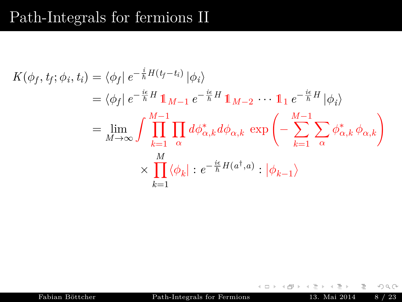$$
K(\phi_f, t_f; \phi_i, t_i) = \langle \phi_f | e^{-\frac{i}{\hbar}H(t_f - t_i)} | \phi_i \rangle
$$
  
\n
$$
= \langle \phi_f | e^{-\frac{i\epsilon}{\hbar}H} \mathbb{1}_{M-1} e^{-\frac{i\epsilon}{\hbar}H} \mathbb{1}_{M-2} \cdots \mathbb{1}_1 e^{-\frac{i\epsilon}{\hbar}H} | \phi_i \rangle
$$
  
\n
$$
= \lim_{M \to \infty} \int \prod_{k=1}^{M-1} \prod_{\alpha} d\phi_{\alpha,k}^* d\phi_{\alpha,k} \exp \left(-\sum_{k=1}^{M-1} \sum_{\alpha} \phi_{\alpha,k}^* \phi_{\alpha,k}\right)
$$
  
\n
$$
\times \prod_{k=1}^M \langle \phi_k | : e^{-\frac{i\epsilon}{\hbar}H(a^\dagger, a)} : | \phi_{k-1} \rangle
$$

Fabian Böttcher [Path-Integrals for Fermions](#page-0-0) 13. Mai 2014  $8 / 23$ 

 $\leftarrow$   $\Box$   $\rightarrow$ 

言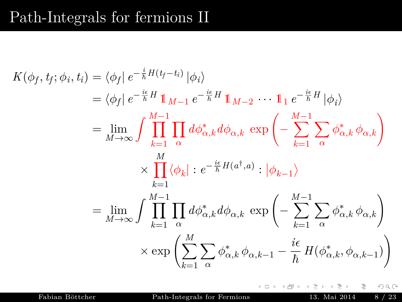$$
K(\phi_f, t_f; \phi_i, t_i) = \langle \phi_f | e^{-\frac{i}{\hbar} H(t_f - t_i)} | \phi_i \rangle
$$
  
\n
$$
= \langle \phi_f | e^{-\frac{i\epsilon}{\hbar} H} \mathbb{1}_{M-1} e^{-\frac{i\epsilon}{\hbar} H} \mathbb{1}_{M-2} \cdots \mathbb{1}_1 e^{-\frac{i\epsilon}{\hbar} H} | \phi_i \rangle
$$
  
\n
$$
= \lim_{M \to \infty} \int \prod_{k=1}^{M-1} \prod_{\alpha} d\phi_{\alpha,k}^* d\phi_{\alpha,k} \exp \left(-\sum_{k=1}^{M-1} \sum_{\alpha} \phi_{\alpha,k}^* \phi_{\alpha,k}\right)
$$
  
\n
$$
\times \prod_{k=1}^{M} \langle \phi_k | : e^{-\frac{i\epsilon}{\hbar} H(a^\dagger, a)} : |\phi_{k-1} \rangle
$$
  
\n
$$
= \lim_{M \to \infty} \int \prod_{k=1}^{M-1} \prod_{\alpha} d\phi_{\alpha,k}^* d\phi_{\alpha,k} \exp \left(-\sum_{k=1}^{M-1} \sum_{\alpha} \phi_{\alpha,k}^* \phi_{\alpha,k}\right)
$$
  
\n
$$
\times \exp \left(\sum_{k=1}^M \sum_{\alpha} \phi_{\alpha,k}^* \phi_{\alpha,k-1} - \frac{i\epsilon}{\hbar} H(\phi_{\alpha,k}^*, \phi_{\alpha,k-1})\right)
$$

 $\leftarrow$  $\rightarrow$ 

Fabian Böttcher [Path-Integrals for Fermions](#page-0-0) 13. Mai 2014  $8 / 23$ 

E

 $\circledcirc \circledcirc \circledcirc$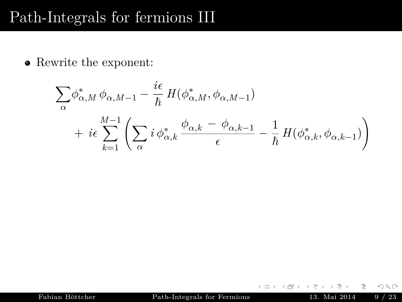#### Path-Integrals for fermions III

Rewrite the exponent:

$$
\sum_{\alpha} \phi_{\alpha,M}^* \phi_{\alpha,M-1} - \frac{i\epsilon}{\hbar} H(\phi_{\alpha,M}^*, \phi_{\alpha,M-1})
$$
  
+  $i\epsilon \sum_{k=1}^{M-1} \left( \sum_{\alpha} i \phi_{\alpha,k}^* \frac{\phi_{\alpha,k} - \phi_{\alpha,k-1}}{\epsilon} - \frac{1}{\hbar} H(\phi_{\alpha,k}^*, \phi_{\alpha,k-1}) \right)$ 

 $\leftarrow$   $\Box$   $\rightarrow$ 

E

 $\circledcirc \circledcirc \circledcirc$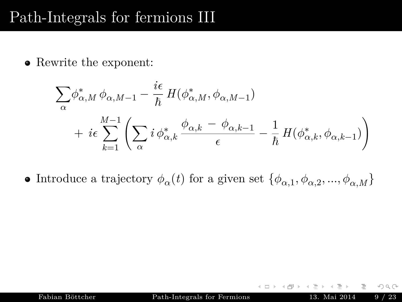## Path-Integrals for fermions III

Rewrite the exponent:

$$
\sum_{\alpha} \phi_{\alpha,M}^* \phi_{\alpha,M-1} - \frac{i\epsilon}{\hbar} H(\phi_{\alpha,M}^*, \phi_{\alpha,M-1})
$$
  
+  $i\epsilon \sum_{k=1}^{M-1} \left( \sum_{\alpha} i \phi_{\alpha,k}^* \frac{\phi_{\alpha,k} - \phi_{\alpha,k-1}}{\epsilon} - \frac{1}{\hbar} H(\phi_{\alpha,k}^*, \phi_{\alpha,k-1}) \right)$ 

Introduce a trajectory  $\phi_{\alpha}(t)$  for a given set  $\{\phi_{\alpha,1}, \phi_{\alpha,2}, ..., \phi_{\alpha,M}\}$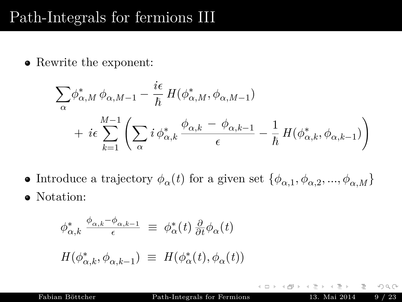## Path-Integrals for fermions III

Rewrite the exponent:

$$
\sum_{\alpha} \phi_{\alpha,M}^* \phi_{\alpha,M-1} - \frac{i\epsilon}{\hbar} H(\phi_{\alpha,M}^*, \phi_{\alpha,M-1})
$$
  
+  $i\epsilon \sum_{k=1}^{M-1} \left( \sum_{\alpha} i \phi_{\alpha,k}^* \frac{\phi_{\alpha,k} - \phi_{\alpha,k-1}}{\epsilon} - \frac{1}{\hbar} H(\phi_{\alpha,k}^*, \phi_{\alpha,k-1}) \right)$ 

Introduce a trajectory  $\phi_{\alpha}(t)$  for a given set  $\{\phi_{\alpha,1}, \phi_{\alpha,2}, ..., \phi_{\alpha,M}\}$ • Notation:

$$
\phi_{\alpha,k}^* \xrightarrow{\phi_{\alpha,k} - \phi_{\alpha,k-1}} \equiv \phi_{\alpha}^*(t) \frac{\partial}{\partial t} \phi_{\alpha}(t)
$$

$$
H(\phi_{\alpha,k}^*, \phi_{\alpha,k-1}) \equiv H(\phi_{\alpha}^*(t), \phi_{\alpha}(t))
$$

 $\leftarrow$   $\Box$   $\rightarrow$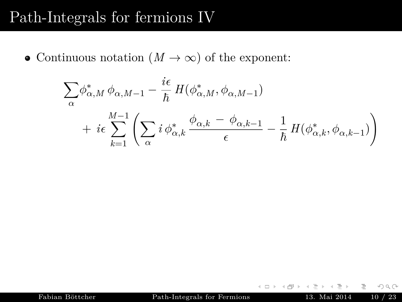#### Path-Integrals for fermions IV

• Continuous notation  $(M \to \infty)$  of the exponent:

$$
\sum_{\alpha} \phi_{\alpha,M}^* \phi_{\alpha,M-1} - \frac{i\epsilon}{\hbar} H(\phi_{\alpha,M}^*, \phi_{\alpha,M-1})
$$
  
+  $i\epsilon \sum_{k=1}^{M-1} \left( \sum_{\alpha} i \phi_{\alpha,k}^* \frac{\phi_{\alpha,k} - \phi_{\alpha,k-1}}{\epsilon} - \frac{1}{\hbar} H(\phi_{\alpha,k}^*, \phi_{\alpha,k-1}) \right)$ 

 $\leftarrow$   $\Box$   $\rightarrow$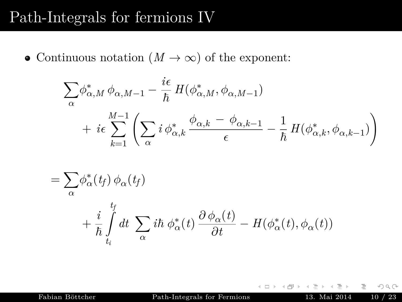#### Path-Integrals for fermions IV

• Continuous notation  $(M \to \infty)$  of the exponent:

$$
\sum_{\alpha} \phi_{\alpha,M}^* \phi_{\alpha,M-1} - \frac{i\epsilon}{\hbar} H(\phi_{\alpha,M}^*, \phi_{\alpha,M-1})
$$
  
+  $i\epsilon \sum_{k=1}^{M-1} \left( \sum_{\alpha} i \phi_{\alpha,k}^* \frac{\phi_{\alpha,k} - \phi_{\alpha,k-1}}{\epsilon} - \frac{1}{\hbar} H(\phi_{\alpha,k}^*, \phi_{\alpha,k-1}) \right)$ 

$$
= \sum_{\alpha} \phi_{\alpha}^*(t_f) \phi_{\alpha}(t_f)
$$
  
+ 
$$
\frac{i}{\hbar} \int_{t_i}^{t_f} dt \sum_{\alpha} i\hbar \phi_{\alpha}^*(t) \frac{\partial \phi_{\alpha}(t)}{\partial t} - H(\phi_{\alpha}^*(t), \phi_{\alpha}(t))
$$

Fabian Böttcher [Path-Integrals for Fermions](#page-0-0) 13. Mai 2014 10 / 23

 $\leftarrow$   $\Box$   $\rightarrow$ 

目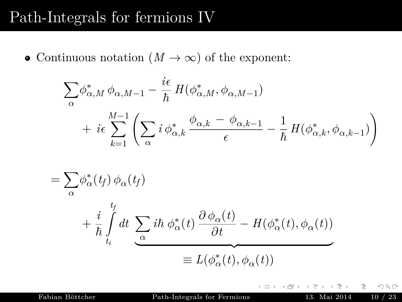#### Path-Integrals for fermions IV

• Continuous notation  $(M \to \infty)$  of the exponent:

$$
\sum_{\alpha} \phi_{\alpha,M}^* \phi_{\alpha,M-1} - \frac{i\epsilon}{\hbar} H(\phi_{\alpha,M}^*, \phi_{\alpha,M-1})
$$
  
+  $i\epsilon \sum_{k=1}^{M-1} \left( \sum_{\alpha} i \phi_{\alpha,k}^* \frac{\phi_{\alpha,k} - \phi_{\alpha,k-1}}{\epsilon} - \frac{1}{\hbar} H(\phi_{\alpha,k}^*, \phi_{\alpha,k-1}) \right)$ 

$$
= \sum_{\alpha} \phi_{\alpha}^{*}(t_{f}) \phi_{\alpha}(t_{f})
$$
  
+ 
$$
\frac{i}{\hbar} \int_{t_{i}}^{t_{f}} dt \underbrace{\sum_{\alpha} i\hbar \phi_{\alpha}^{*}(t) \frac{\partial \phi_{\alpha}(t)}{\partial t} - H(\phi_{\alpha}^{*}(t), \phi_{\alpha}(t))}_{\equiv L(\phi_{\alpha}^{*}(t), \phi_{\alpha}(t))}
$$

Fabian Böttcher [Path-Integrals for Fermions](#page-0-0) 13. Mai 2014 10 / 23

 $\leftarrow$   $\Box$   $\rightarrow$ 

目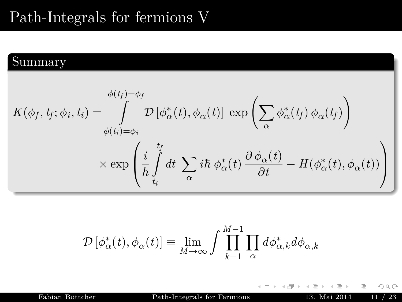## Path-Integrals for fermions V

#### Summary

$$
K(\phi_f, t_f; \phi_i, t_i) = \int_{\phi(t_i) = \phi_i}^{\phi(t_f) = \phi_f} \mathcal{D} \left[ \phi^*_{\alpha}(t), \phi_{\alpha}(t) \right] \exp \left( \sum_{\alpha} \phi^*_{\alpha}(t_f) \phi_{\alpha}(t_f) \right)
$$

$$
\times \exp \left( \frac{i}{\hbar} \int_{t_i}^{t_f} dt \sum_{\alpha} i\hbar \phi^*_{\alpha}(t) \frac{\partial \phi_{\alpha}(t)}{\partial t} - H(\phi^*_{\alpha}(t), \phi_{\alpha}(t)) \right)
$$

$$
\mathcal{D}\left[\phi_{\alpha}^*(t), \phi_{\alpha}(t)\right] \equiv \lim_{M \to \infty} \int \prod_{k=1}^{M-1} \prod_{\alpha} d\phi_{\alpha,k}^* d\phi_{\alpha,k}
$$

Fabian Böttcher [Path-Integrals for Fermions](#page-0-0) 13. Mai 2014 11 / 23

 $\leftarrow$   $\Box$   $\rightarrow$ 

言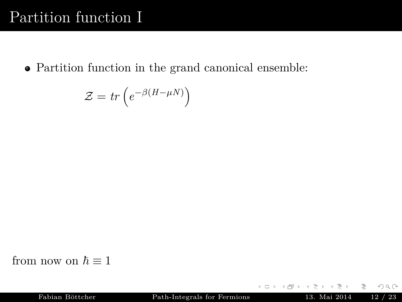<span id="page-32-0"></span>Partition function in the grand canonical ensemble:

$$
\mathcal{Z} = tr\left(e^{-\beta(H-\mu N)}\right)
$$

from now on  $\hbar \equiv 1$ 

 $\leftarrow$   $\Box$   $\rightarrow$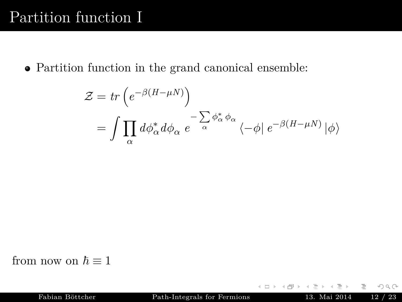Partition function in the grand canonical ensemble:

$$
\mathcal{Z} = tr \left( e^{-\beta (H - \mu N)} \right)
$$
  
=  $\int \prod_{\alpha} d\phi_{\alpha}^* d\phi_{\alpha} e^{-\sum_{\alpha} \phi_{\alpha}^* \phi_{\alpha}} \langle -\phi | e^{-\beta (H - \mu N)} | \phi \rangle$ 

from now on  $\hbar \equiv 1$ 

 $\leftarrow$   $\Box$   $\rightarrow$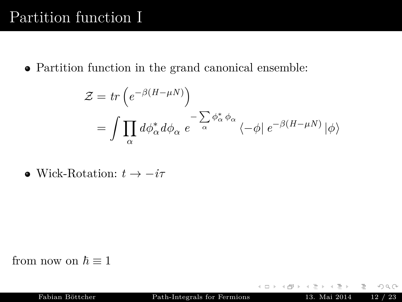Partition function in the grand canonical ensemble:

$$
\mathcal{Z} = tr \left( e^{-\beta (H - \mu N)} \right)
$$
  
=  $\int \prod_{\alpha} d\phi_{\alpha}^* d\phi_{\alpha} e^{-\sum_{\alpha} \phi_{\alpha}^* \phi_{\alpha}} \langle -\phi | e^{-\beta (H - \mu N)} | \phi \rangle$ 

 $\bullet$  Wick-Rotation:  $t \rightarrow -i\tau$ 

from now on  $\hbar \equiv 1$ 

 $\leftarrow$   $\Box$   $\rightarrow$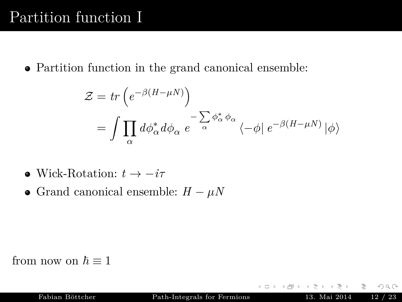Partition function in the grand canonical ensemble:

$$
\mathcal{Z} = tr \left( e^{-\beta (H - \mu N)} \right)
$$
  
=  $\int \prod_{\alpha} d\phi_{\alpha}^* d\phi_{\alpha} e^{-\sum_{\alpha} \phi_{\alpha}^* \phi_{\alpha}} \langle -\phi | e^{-\beta (H - \mu N)} | \phi \rangle$ 

- $\bullet$  Wick-Rotation:  $t \rightarrow -i\tau$
- Grand canonical ensemble:  $H \mu N$

from now on  $\hbar \equiv 1$ 

 $\leftarrow$   $\Box$   $\rightarrow$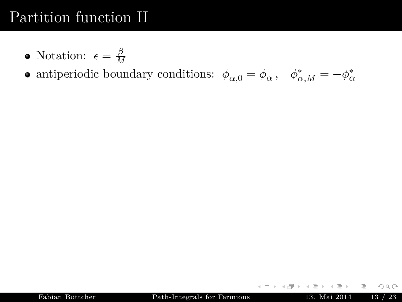- Notation:  $\epsilon = \frac{\beta}{M}$ *M*
- antiperiodic boundary conditions:  $\phi_{\alpha,0} = \phi_{\alpha}$ ,  $\phi_{\alpha,M}^* = -\phi_{\alpha}^*$

 $\leftarrow$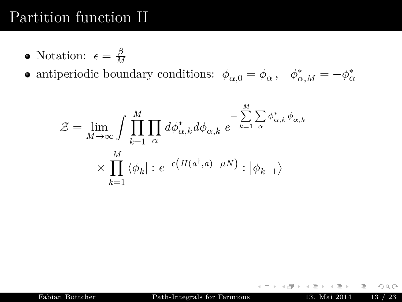- Notation:  $\epsilon = \frac{\beta}{M}$ *M*
- antiperiodic boundary conditions:  $\phi_{\alpha,0} = \phi_{\alpha}$ ,  $\phi_{\alpha,M}^* = -\phi_{\alpha}^*$

$$
\mathcal{Z} = \lim_{M \to \infty} \int \prod_{k=1}^{M} \prod_{\alpha} d\phi_{\alpha,k}^* d\phi_{\alpha,k} e^{-\sum_{k=1}^{M} \sum_{\alpha} \phi_{\alpha,k}^* \phi_{\alpha,k}}
$$

$$
\times \prod_{k=1}^{M} \langle \phi_k | : e^{-\epsilon (H(a^{\dagger}, a) - \mu N)} : | \phi_{k-1} \rangle
$$

 $\leftarrow$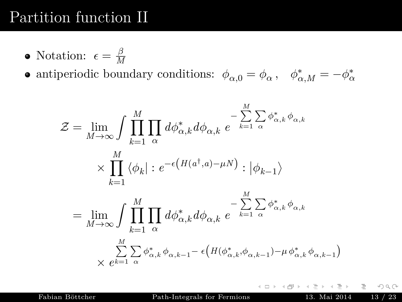- Notation:  $\epsilon = \frac{\beta}{M}$ *M*
- antiperiodic boundary conditions:  $\phi_{\alpha,0} = \phi_{\alpha}$ ,  $\phi_{\alpha,M}^* = -\phi_{\alpha}^*$

$$
\mathcal{Z} = \lim_{M \to \infty} \int \prod_{k=1}^{M} \prod_{\alpha} d\phi_{\alpha,k}^{*} d\phi_{\alpha,k} e^{-\sum_{k=1}^{M} \sum_{\alpha} \phi_{\alpha,k}^{*} \phi_{\alpha,k}}
$$
  

$$
\times \prod_{k=1}^{M} \langle \phi_{k} | : e^{-\epsilon (H(a^{\dagger}, a) - \mu N)} : |\phi_{k-1}\rangle
$$
  

$$
= \lim_{M \to \infty} \int \prod_{k=1}^{M} \prod_{\alpha} d\phi_{\alpha,k}^{*} d\phi_{\alpha,k} e^{-\sum_{k=1}^{M} \sum_{\alpha} \phi_{\alpha,k}^{*} \phi_{\alpha,k}}
$$
  

$$
\times \sum_{k=1}^{M} \sum_{\alpha} \phi_{\alpha,k}^{*} \phi_{\alpha,k-1} - \epsilon (H(\phi_{\alpha,k}^{*}, \phi_{\alpha,k-1}) - \mu \phi_{\alpha,k}^{*} \phi_{\alpha,k-1})
$$

Fabian Böttcher [Path-Integrals for Fermions](#page-0-0) 13. Mai 2014 13 / 23

 $\leftarrow$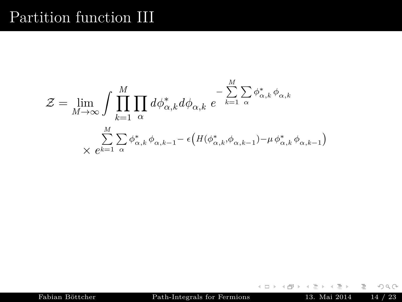$$
\mathcal{Z} = \lim_{M \to \infty} \int \prod_{k=1}^{M} \prod_{\alpha} d\phi_{\alpha,k}^* d\phi_{\alpha,k} \, e^{-\sum_{k=1}^{M} \sum_{\alpha} \phi_{\alpha,k}^* \phi_{\alpha,k}}
$$

$$
\sum_{\chi \in k=1}^{M} \sum_{\alpha} \phi_{\alpha,k}^* \phi_{\alpha,k-1} - \epsilon \big( H(\phi_{\alpha,k}^*, \phi_{\alpha,k-1}) - \mu \phi_{\alpha,k}^* \phi_{\alpha,k-1} \big)
$$

Fabian Böttcher [Path-Integrals for Fermions](#page-0-0) 13. Mai 2014 14 / 23

 $\leftarrow$   $\Box$   $\rightarrow$ 

 $\leftarrow$   $\Box$ 

≡

 $\equiv$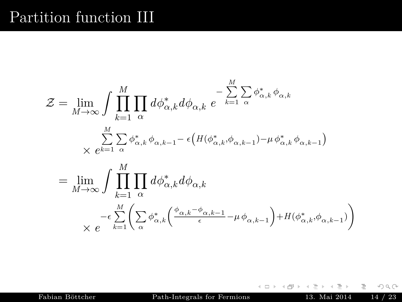$$
\mathcal{Z} = \lim_{M \to \infty} \int \prod_{k=1}^{M} \prod_{\alpha} d\phi_{\alpha,k}^{*} d\phi_{\alpha,k} e^{-\sum_{k=1}^{M} \sum_{\alpha} \phi_{\alpha,k}^{*} \phi_{\alpha,k}} \times e^{\sum_{k=1}^{M} \sum_{\alpha} \phi_{\alpha,k}^{*} \phi_{\alpha,k-1} - \epsilon \left( H(\phi_{\alpha,k}^{*}, \phi_{\alpha,k-1}) - \mu \phi_{\alpha,k}^{*} \phi_{\alpha,k-1} \right)} \n= \lim_{M \to \infty} \int \prod_{k=1}^{M} \prod_{\alpha} d\phi_{\alpha,k}^{*} d\phi_{\alpha,k} \times e^{-\epsilon \sum_{k=1}^{M} \left( \sum_{\alpha} \phi_{\alpha,k}^{*} \left( \frac{\phi_{\alpha,k} - \phi_{\alpha,k-1}}{\epsilon} - \mu \phi_{\alpha,k-1} \right) + H(\phi_{\alpha,k}^{*}, \phi_{\alpha,k-1}) \right)}
$$

 $\leftarrow$   $\Box$   $\rightarrow$ + n  $\rightarrow$ 

 $\equiv$ Fabian Böttcher [Path-Integrals for Fermions](#page-0-0) 13. Mai 2014 14 / 23

≡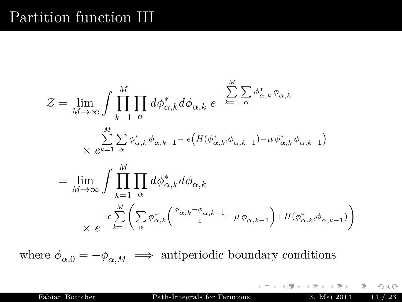$$
\mathcal{Z} = \lim_{M \to \infty} \int \prod_{k=1}^{M} \prod_{\alpha} d\phi_{\alpha,k}^{*} d\phi_{\alpha,k} e^{-\sum_{k=1}^{M} \sum_{\alpha} \phi_{\alpha,k}^{*} \phi_{\alpha,k}} \times e^{\sum_{k=1}^{M} \sum_{\alpha} \phi_{\alpha,k}^{*} \phi_{\alpha,k-1} - \epsilon \left( H(\phi_{\alpha,k}^{*}, \phi_{\alpha,k-1}) - \mu \phi_{\alpha,k}^{*} \phi_{\alpha,k-1} \right)} \n= \lim_{M \to \infty} \int \prod_{k=1}^{M} \prod_{\alpha} d\phi_{\alpha,k}^{*} d\phi_{\alpha,k} \times e^{-\epsilon \sum_{k=1}^{M} \left( \sum_{\alpha} \phi_{\alpha,k}^{*} \left( \frac{\phi_{\alpha,k} - \phi_{\alpha,k-1}}{\epsilon} - \mu \phi_{\alpha,k-1} \right) + H(\phi_{\alpha,k}^{*}, \phi_{\alpha,k-1}) \right)}
$$

where  $\phi_{\alpha,0} = -\phi_{\alpha,M} \implies$  antiperiodic boundary conditions

Fabian Böttcher [Path-Integrals for Fermions](#page-0-0) 13. Mai 2014 14 / 23

 $\leftarrow$ 

E.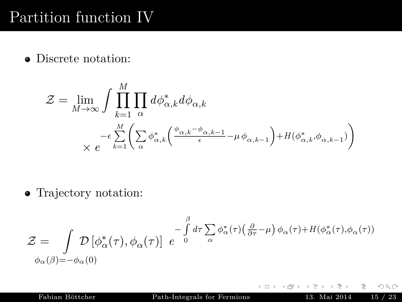Discrete notation:

$$
\mathcal{Z} = \lim_{M \to \infty} \int \prod_{k=1}^{M} \prod_{\alpha} d\phi_{\alpha,k}^* d\phi_{\alpha,k}
$$

$$
\times e^{-\epsilon \sum_{k=1}^{M} \left( \sum_{\alpha} \phi_{\alpha,k}^* \left( \frac{\phi_{\alpha,k} - \phi_{\alpha,k-1}}{\epsilon} - \mu \phi_{\alpha,k-1} \right) + H(\phi_{\alpha,k}^*, \phi_{\alpha,k-1}) \right)}
$$

Trajectory notation:

$$
\mathcal{Z} = \int \mathcal{D} \left[ \phi_{\alpha}^*(\tau), \phi_{\alpha}(\tau) \right] e^{-\int_{0}^{\beta} d\tau \sum_{\alpha} \phi_{\alpha}^*(\tau) \left( \frac{\partial}{\partial \tau} - \mu \right) \phi_{\alpha}(\tau) + H(\phi_{\alpha}^*(\tau), \phi_{\alpha}(\tau))}
$$
  

$$
\phi_{\alpha}(\beta) = -\phi_{\alpha}(0)
$$

Fabian Böttcher [Path-Integrals for Fermions](#page-0-0) 13. Mai 2014 15 / 23

 $\leftarrow$ 

言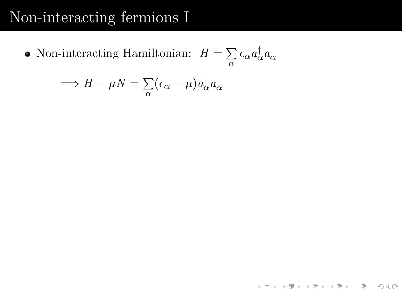<span id="page-43-0"></span>Non-interacting Hamiltonian:  $H = \sum$  $\sum_{\alpha}$  ε<sub>α</sub>  $a_{\alpha}^{\dagger}$   $a_{\alpha}$ 

$$
\implies H - \mu N = \sum_{\alpha} (\epsilon_{\alpha} - \mu) a_{\alpha}^{\dagger} a_{\alpha}
$$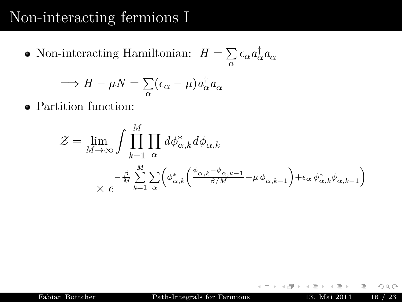Non-interacting Hamiltonian:  $H = \sum$  $\sum_{\alpha}$  ε<sub>α</sub>  $a_{\alpha}^{\dagger}$   $a_{\alpha}$ 

$$
\implies H - \mu N = \sum_{\alpha} (\epsilon_{\alpha} - \mu) a_{\alpha}^{\dagger} a_{\alpha}
$$

Partition function:

$$
\mathcal{Z} = \lim_{M \to \infty} \int \prod_{k=1}^{M} \prod_{\alpha} d\phi_{\alpha,k}^* d\phi_{\alpha,k}
$$

$$
\times e^{-\frac{\beta}{M} \sum_{k=1}^{M} \sum_{\alpha} \left( \phi_{\alpha,k}^* \left( \frac{\phi_{\alpha,k} - \phi_{\alpha,k-1}}{\beta/M} - \mu \phi_{\alpha,k-1} \right) + \epsilon_{\alpha} \phi_{\alpha,k}^* \phi_{\alpha,k-1} \right)}
$$

Fabian Böttcher [Path-Integrals for Fermions](#page-0-0) 13. Mai 2014 16 / 23

 $\leftarrow$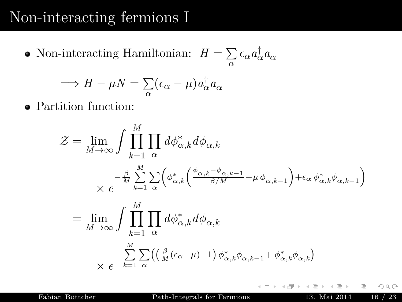Non-interacting Hamiltonian:  $H = \sum$  $\sum_{\alpha}$  ε<sub>α</sub>  $a_{\alpha}^{\dagger}$   $a_{\alpha}$ 

$$
\implies H - \mu N = \sum_{\alpha} (\epsilon_{\alpha} - \mu) a_{\alpha}^{\dagger} a_{\alpha}
$$

Partition function:

$$
\mathcal{Z} = \lim_{M \to \infty} \int \prod_{k=1}^{M} \prod_{\alpha} d\phi_{\alpha,k}^* d\phi_{\alpha,k}
$$
  
\n
$$
\times e^{-\frac{\beta}{M} \sum_{k=1}^{M} \sum_{\alpha} \left( \phi_{\alpha,k}^* \left( \frac{\phi_{\alpha,k} - \phi_{\alpha,k-1}}{\beta/M} - \mu \phi_{\alpha,k-1} \right) + \epsilon_{\alpha} \phi_{\alpha,k}^* \phi_{\alpha,k-1} \right)}
$$
  
\n
$$
= \lim_{M \to \infty} \int \prod_{k=1}^{M} \prod_{\alpha} d\phi_{\alpha,k}^* d\phi_{\alpha,k}
$$
  
\n
$$
\times e^{-\sum_{k=1}^{M} \sum_{\alpha} \left( \left( \frac{\beta}{M} (\epsilon_{\alpha} - \mu) - 1 \right) \phi_{\alpha,k}^* \phi_{\alpha,k-1} + \phi_{\alpha,k}^* \phi_{\alpha,k} \right)}
$$

Fabian Böttcher [Path-Integrals for Fermions](#page-0-0) 13. Mai 2014 16 / 23

 $\leftarrow$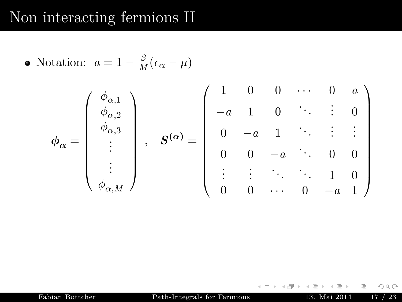• Notation: 
$$
a = 1 - \frac{\beta}{M} (\epsilon_{\alpha} - \mu)
$$

$$
\phi_{\alpha} = \begin{pmatrix} \phi_{\alpha,1} \\ \phi_{\alpha,2} \\ \phi_{\alpha,3} \\ \vdots \\ \phi_{\alpha,M} \end{pmatrix}, \quad \mathbf{S}^{(\alpha)} = \begin{pmatrix} 1 & 0 & 0 & \cdots & 0 & a \\ -a & 1 & 0 & & \vdots & 0 \\ 0 & -a & 1 & & \ddots & \vdots & \vdots \\ 0 & 0 & -a & & 0 & 0 \\ \vdots & \vdots & \ddots & & \ddots & 1 & 0 \\ 0 & 0 & \cdots & 0 & -a & 1 \end{pmatrix}
$$

Fabian Böttcher [Path-Integrals for Fermions](#page-0-0) 13. Mai 2014 17 / 23

 $\begin{array}{ccc} \leftarrow & \text{ } & \text{ } & \text{ } & \text{ } \end{array}$ 

 $\triangleleft$  $\mathbb{R}^2$  ≞

Ξ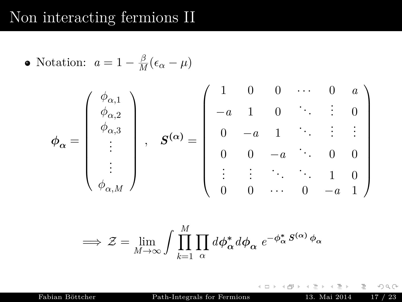• Notation: 
$$
a = 1 - \frac{\beta}{M} (\epsilon_{\alpha} - \mu)
$$

$$
\phi_{\alpha} = \begin{pmatrix} \phi_{\alpha,1} \\ \phi_{\alpha,2} \\ \vdots \\ \phi_{\alpha,M} \end{pmatrix}, \quad \mathbf{S}^{(\alpha)} = \begin{pmatrix} 1 & 0 & 0 & \cdots & 0 & a \\ -a & 1 & 0 & & \vdots & 0 \\ 0 & -a & 1 & & \ddots & \vdots & \vdots \\ 0 & 0 & -a & & 0 & 0 \\ \vdots & \vdots & \ddots & & \ddots & 1 & 0 \\ 0 & 0 & \cdots & 0 & -a & 1 \end{pmatrix}
$$

$$
\implies \mathcal{Z} = \lim_{M \to \infty} \int \prod_{k=1}^{M} \prod_{\alpha} d\phi_{\alpha}^* d\phi_{\alpha} e^{-\phi_{\alpha}^* S^{(\alpha)} \phi_{\alpha}}
$$

Fabian Böttcher [Path-Integrals for Fermions](#page-0-0) 13. Mai 2014 17 / 23

 $\leftarrow$   $\Box$   $\rightarrow$ 

Ξ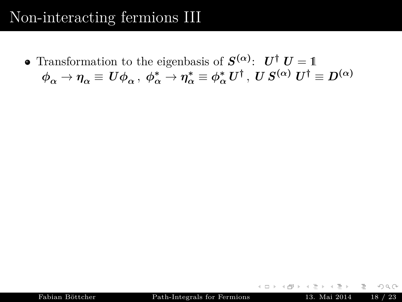Transformation to the eigenbasis of  $S^{(\alpha)}$ :  $U^{\dagger} U = 1$  $\phi^{}_\alpha \to \eta^{}_\alpha \equiv \, U \phi^{}_\alpha \, , \ \phi^*_\alpha \to \eta^*_\alpha \equiv \phi^*_\alpha \, U^\dagger \, , \ U \, S^{(\alpha)} \, \, U^\dagger \equiv D^{(\alpha)} \, ,$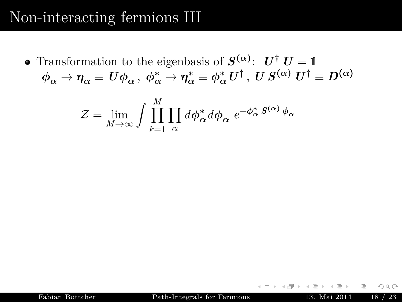Transformation to the eigenbasis of  $S^{(\alpha)}$ :  $U^{\dagger} U = 1$  $\phi^{}_\alpha \to \eta^{}_\alpha \equiv \, U \phi^{}_\alpha \, , \ \phi^*_\alpha \to \eta^*_\alpha \equiv \phi^*_\alpha \, U^\dagger \, , \ U \, S^{(\alpha)} \, \, U^\dagger \equiv D^{(\alpha)} \, ,$ 

$$
\mathcal{Z} = \lim_{M \to \infty} \int \prod_{k=1}^{M} \prod_{\alpha} d\phi_{\alpha}^* d\phi_{\alpha} e^{-\phi_{\alpha}^* S^{(\alpha)} \phi_{\alpha}}
$$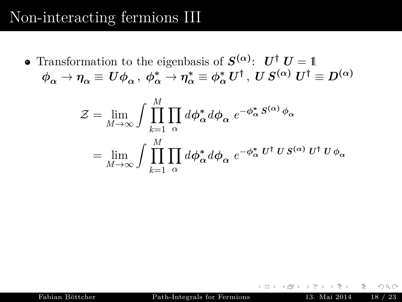Transformation to the eigenbasis of  $S^{(\alpha)}$ :  $U^{\dagger} U = 1$  $\phi^{}_\alpha \to \eta^{}_\alpha \equiv \, U \phi^{}_\alpha \, , \ \phi^*_\alpha \to \eta^*_\alpha \equiv \phi^*_\alpha \, U^\dagger \, , \ U \, S^{(\alpha)} \, \, U^\dagger \equiv D^{(\alpha)} \, ,$ 

$$
\mathcal{Z} = \lim_{M \to \infty} \int \prod_{k=1}^{M} \prod_{\alpha} d\phi_{\alpha}^* d\phi_{\alpha} e^{-\phi_{\alpha}^* S^{(\alpha)} \phi_{\alpha}}
$$

$$
= \lim_{M \to \infty} \int \prod_{k=1}^{M} \prod_{\alpha} d\phi_{\alpha}^* d\phi_{\alpha} e^{-\phi_{\alpha}^* U^{\dagger} U S^{(\alpha)} U^{\dagger} U \phi_{\alpha}}
$$

 $\leftarrow$   $\Box$   $\rightarrow$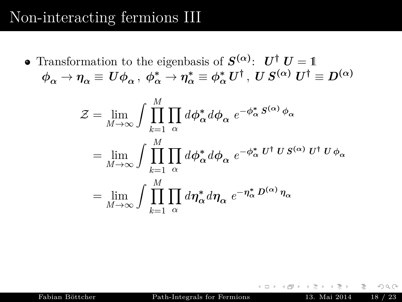Transformation to the eigenbasis of  $S^{(\alpha)}$ :  $U^{\dagger} U = 1$  $\phi^{}_\alpha \to \eta^{}_\alpha \equiv \, U \phi^{}_\alpha \, , \ \phi^*_\alpha \to \eta^*_\alpha \equiv \phi^*_\alpha \, U^\dagger \, , \ U \, S^{(\alpha)} \, \, U^\dagger \equiv D^{(\alpha)} \, ,$ 

$$
\mathcal{Z} = \lim_{M \to \infty} \int \prod_{k=1}^{M} \prod_{\alpha} d\phi_{\alpha}^* d\phi_{\alpha} e^{-\phi_{\alpha}^* S^{(\alpha)} \phi_{\alpha}}
$$
  
= 
$$
\lim_{M \to \infty} \int \prod_{k=1}^{M} \prod_{\alpha} d\phi_{\alpha}^* d\phi_{\alpha} e^{-\phi_{\alpha}^* U^{\dagger} U S^{(\alpha)} U^{\dagger} U \phi_{\alpha}}
$$
  
= 
$$
\lim_{M \to \infty} \int \prod_{k=1}^{M} \prod_{\alpha} d\eta_{\alpha}^* d\eta_{\alpha} e^{-\eta_{\alpha}^* D^{(\alpha)} \eta_{\alpha}}
$$

Fabian Böttcher [Path-Integrals for Fermions](#page-0-0) 13. Mai 2014 18 / 23

 $\leftarrow$   $\Box$   $\rightarrow$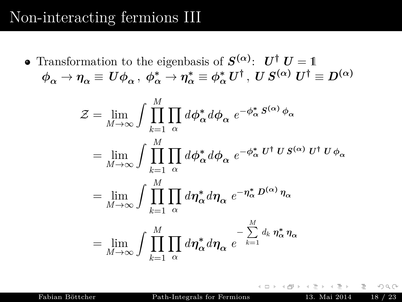Transformation to the eigenbasis of  $S^{(\alpha)}$ :  $U^{\dagger} U = 1$  $\phi^{}_\alpha \to \eta^{}_\alpha \equiv \, U \phi^{}_\alpha \, , \ \phi^*_\alpha \to \eta^*_\alpha \equiv \phi^*_\alpha \, U^\dagger \, , \ U \, S^{(\alpha)} \, \, U^\dagger \equiv D^{(\alpha)} \, ,$ 

$$
\mathcal{Z} = \lim_{M \to \infty} \int \prod_{k=1}^{M} \prod_{\alpha} d\phi_{\alpha}^{*} d\phi_{\alpha} e^{-\phi_{\alpha}^{*} S^{(\alpha)} \phi_{\alpha}}
$$
  
\n
$$
= \lim_{M \to \infty} \int \prod_{k=1}^{M} \prod_{\alpha} d\phi_{\alpha}^{*} d\phi_{\alpha} e^{-\phi_{\alpha}^{*} U^{\dagger} U S^{(\alpha)} U^{\dagger} U \phi_{\alpha}}
$$
  
\n
$$
= \lim_{M \to \infty} \int \prod_{k=1}^{M} \prod_{\alpha} d\eta_{\alpha}^{*} d\eta_{\alpha} e^{-\eta_{\alpha}^{*} D^{(\alpha)} \eta_{\alpha}}
$$
  
\n
$$
= \lim_{M \to \infty} \int \prod_{k=1}^{M} \prod_{\alpha} d\eta_{\alpha}^{*} d\eta_{\alpha} e^{-\sum_{k=1}^{M} d_{k} \eta_{\alpha}^{*} \eta_{\alpha}}
$$

Fabian Böttcher [Path-Integrals for Fermions](#page-0-0) 13. Mai 2014 18 / 23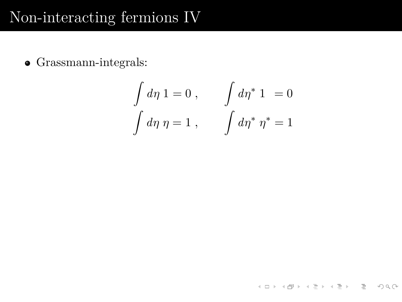Grassmann-integrals:

$$
\int d\eta \, 1 = 0 , \qquad \int d\eta^* \, 1 = 0
$$

$$
\int d\eta \, \eta = 1 , \qquad \int d\eta^* \, \eta^* = 1
$$

**K ロ ▶ K 레 ▶ K 코 ▶ K 코 ▶ │ 코 │ ◆ 9 Q (\***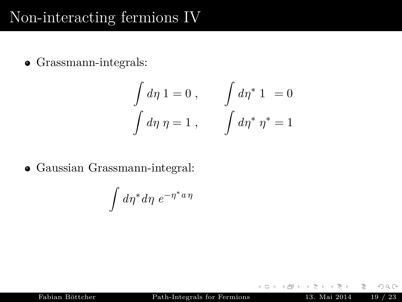Grassmann-integrals:

$$
\int d\eta \, 1 = 0 , \qquad \int d\eta^* \, 1 = 0
$$

$$
\int d\eta \, \eta = 1 , \qquad \int d\eta^* \, \eta^* = 1
$$

Gaussian Grassmann-integral:

$$
\int d\eta^* d\eta \; e^{-\eta^* a\,\eta}
$$

Fabian Böttcher [Path-Integrals for Fermions](#page-0-0) 13. Mai 2014 19 / 23

 $\leftarrow$ 

目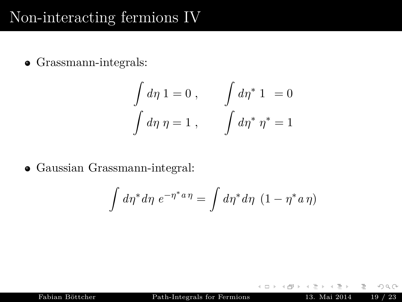Grassmann-integrals:

$$
\int d\eta \, 1 = 0 , \qquad \int d\eta^* \, 1 = 0
$$

$$
\int d\eta \, \eta = 1 , \qquad \int d\eta^* \, \eta^* = 1
$$

Gaussian Grassmann-integral:

$$
\int d\eta^* d\eta \ e^{-\eta^* a \eta} = \int d\eta^* d\eta \ (1 - \eta^* a \eta)
$$

Fabian Böttcher [Path-Integrals for Fermions](#page-0-0) 13. Mai 2014 19 / 23

 $\leftarrow$ 

目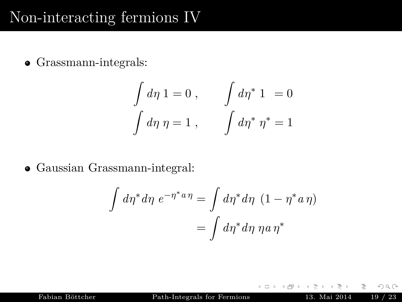Grassmann-integrals:

$$
\int d\eta \, 1 = 0 , \qquad \int d\eta^* \, 1 = 0
$$

$$
\int d\eta \, \eta = 1 , \qquad \int d\eta^* \, \eta^* = 1
$$

Gaussian Grassmann-integral:

$$
\int d\eta^* d\eta \ e^{-\eta^* a \eta} = \int d\eta^* d\eta \ (1 - \eta^* a \eta)
$$

$$
= \int d\eta^* d\eta \ \eta a \eta^*
$$

 $\leftarrow$ 

Fabian Böttcher [Path-Integrals for Fermions](#page-0-0) 13. Mai 2014 19 / 23

目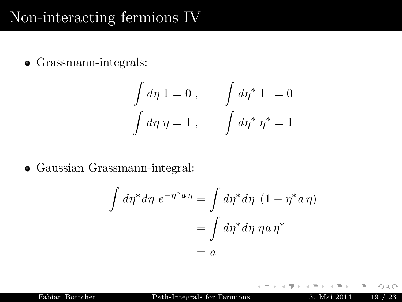Grassmann-integrals:

$$
\int d\eta \, 1 = 0 , \qquad \int d\eta^* \, 1 = 0
$$

$$
\int d\eta \, \eta = 1 , \qquad \int d\eta^* \, \eta^* = 1
$$

Gaussian Grassmann-integral:

$$
\int d\eta^* d\eta \ e^{-\eta^* a \eta} = \int d\eta^* d\eta \ (1 - \eta^* a \eta)
$$

$$
= \int d\eta^* d\eta \ \eta a \eta^*
$$

$$
= a
$$

 $\leftarrow$ 

Fabian Böttcher [Path-Integrals for Fermions](#page-0-0) 13. Mai 2014 19 / 23

目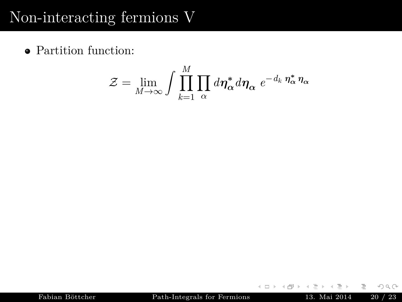Partition function:

$$
\mathcal{Z} = \lim_{M \to \infty} \int \prod_{k=1}^{M} \prod_{\alpha} d\eta_{\alpha}^{*} d\eta_{\alpha} e^{-d_{k} \eta_{\alpha}^{*}} \eta_{\alpha}
$$

 $\leftarrow$   $\Box$   $\rightarrow$ 

E.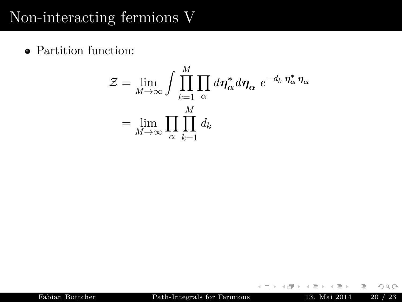Partition function:

$$
\mathcal{Z} = \lim_{M \to \infty} \int \prod_{k=1}^{M} \prod_{\alpha} d\eta_{\alpha}^{*} d\eta_{\alpha} e^{-d_{k} \eta_{\alpha}^{*}} \eta_{\alpha}
$$

$$
= \lim_{M \to \infty} \prod_{\alpha} \prod_{k=1}^{M} d_{k}
$$

 $\leftarrow$   $\Box$   $\rightarrow$ 

E.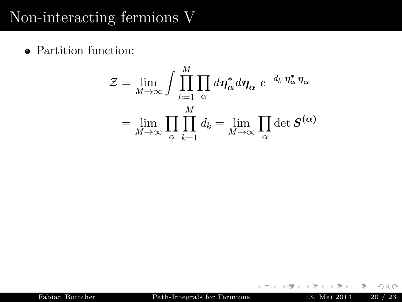Partition function:

$$
\mathcal{Z} = \lim_{M \to \infty} \int \prod_{k=1}^{M} \prod_{\alpha} d\eta_{\alpha}^{*} d\eta_{\alpha} e^{-d_{k} \eta_{\alpha}^{*}} \eta_{\alpha}
$$

$$
= \lim_{M \to \infty} \prod_{\alpha} \prod_{k=1}^{M} d_{k} = \lim_{M \to \infty} \prod_{\alpha} \det S^{(\alpha)}
$$

 $\leftarrow$   $\Box$   $\rightarrow$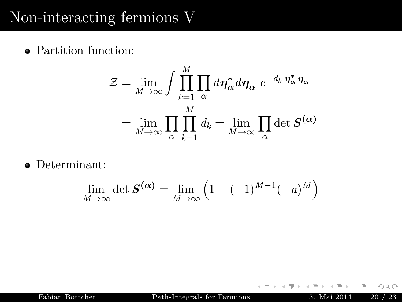Partition function:

$$
\mathcal{Z} = \lim_{M \to \infty} \int \prod_{k=1}^{M} \prod_{\alpha} d\eta_{\alpha}^{*} d\eta_{\alpha} e^{-d_{k} \eta_{\alpha}^{*}} \eta_{\alpha}
$$

$$
= \lim_{M \to \infty} \prod_{\alpha} \prod_{k=1}^{M} d_{k} = \lim_{M \to \infty} \prod_{\alpha} \det S^{(\alpha)}
$$

Determinant:

$$
\lim_{M \to \infty} \det \mathbf{S}^{(\alpha)} = \lim_{M \to \infty} \left( 1 - (-1)^{M-1} (-a)^M \right)
$$

Fabian Böttcher [Path-Integrals for Fermions](#page-0-0) 13. Mai 2014 20 / 23

 $\leftarrow$   $\Box$   $\rightarrow$ 

E.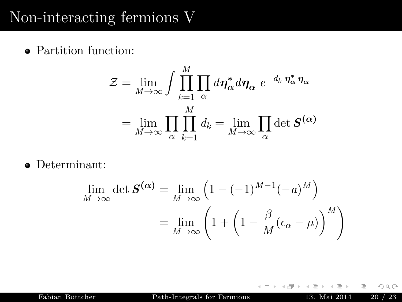Partition function:

$$
\mathcal{Z} = \lim_{M \to \infty} \int \prod_{k=1}^{M} \prod_{\alpha} d\eta_{\alpha}^{*} d\eta_{\alpha} e^{-d_{k} \eta_{\alpha}^{*}} \eta_{\alpha}
$$

$$
= \lim_{M \to \infty} \prod_{\alpha} \prod_{k=1}^{M} d_{k} = \lim_{M \to \infty} \prod_{\alpha} \det S^{(\alpha)}
$$

Determinant:

$$
\lim_{M \to \infty} \det \mathbf{S}^{(\alpha)} = \lim_{M \to \infty} \left( 1 - (-1)^{M-1} (-a)^M \right)
$$

$$
= \lim_{M \to \infty} \left( 1 + \left( 1 - \frac{\beta}{M} (\epsilon_\alpha - \mu) \right)^M \right)
$$

 $\leftarrow$ 

Fabian Böttcher [Path-Integrals for Fermions](#page-0-0) 13. Mai 2014 20 / 23

言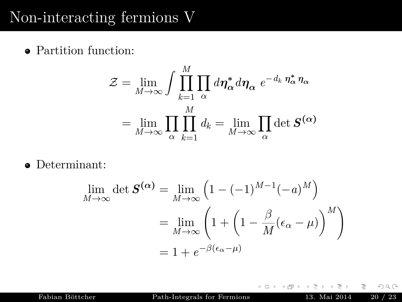Partition function:

$$
\mathcal{Z} = \lim_{M \to \infty} \int \prod_{k=1}^{M} \prod_{\alpha} d\eta_{\alpha}^{*} d\eta_{\alpha} e^{-d_{k} \eta_{\alpha}^{*}} \eta_{\alpha}
$$

$$
= \lim_{M \to \infty} \prod_{\alpha} \prod_{k=1}^{M} d_{k} = \lim_{M \to \infty} \prod_{\alpha} \det S^{(\alpha)}
$$

Determinant:

$$
\lim_{M \to \infty} \det \mathbf{S}^{(\alpha)} = \lim_{M \to \infty} \left( 1 - (-1)^{M-1} (-a)^M \right)
$$

$$
= \lim_{M \to \infty} \left( 1 + \left( 1 - \frac{\beta}{M} (\epsilon_\alpha - \mu) \right)^M \right)
$$

$$
= 1 + e^{-\beta(\epsilon_\alpha - \mu)}
$$

 $\leftarrow$   $\Box$   $\rightarrow$ 

Fabian Böttcher [Path-Integrals for Fermions](#page-0-0) 13. Mai 2014 20 / 23

E.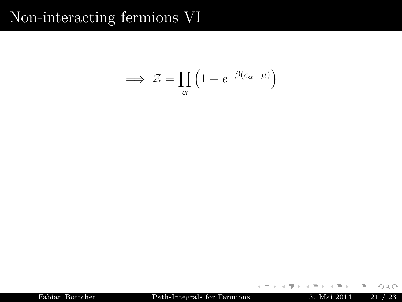$$
\implies \mathcal{Z} = \prod_{\alpha} \left( 1 + e^{-\beta(\epsilon_{\alpha} - \mu)} \right)
$$

 ${\bf Fabian B\"ottcher} \hspace{1.5cm} {\bf Path-Integrals for Fermions} \hspace{1.5cm} 13. \text{ Mai } 2014 \hspace{1.5cm} 21 \text{ / } 23$  ${\bf Fabian B\"ottcher} \hspace{1.5cm} {\bf Path-Integrals for Fermions} \hspace{1.5cm} 13. \text{ Mai } 2014 \hspace{1.5cm} 21 \text{ / } 23$  ${\bf Fabian B\"ottcher} \hspace{1.5cm} {\bf Path-Integrals for Fermions} \hspace{1.5cm} 13. \text{ Mai } 2014 \hspace{1.5cm} 21 \text{ / } 23$ 

 $\leftarrow$   $\Box$   $\rightarrow$  $\triangleleft$ 

Ξ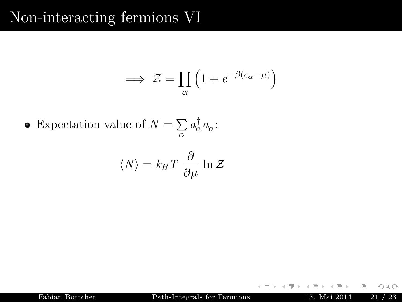$$
\implies \mathcal{Z} = \prod_{\alpha} \left( 1 + e^{-\beta(\epsilon_{\alpha} - \mu)} \right)
$$

Expectation value of  $N = \sum$  $\sum_{\alpha} a_{\alpha}^{\dagger} a_{\alpha}$ :

$$
\langle N \rangle = k_B T \frac{\partial}{\partial \mu} \ln \mathcal{Z}
$$

Fabian Böttcher [Path-Integrals for Fermions](#page-0-0) 13. Mai 2014 21 / 23

 $\leftarrow$ 

目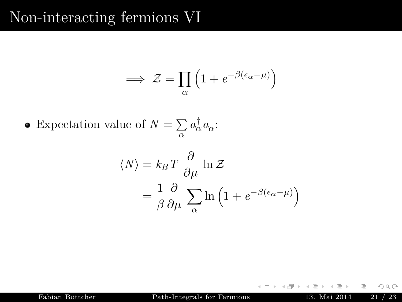$$
\implies \mathcal{Z} = \prod_{\alpha} \left( 1 + e^{-\beta(\epsilon_{\alpha} - \mu)} \right)
$$

Expectation value of  $N = \sum$  $\sum_{\alpha} a_{\alpha}^{\dagger} a_{\alpha}$ :

$$
\langle N \rangle = k_B T \frac{\partial}{\partial \mu} \ln \mathcal{Z}
$$

$$
= \frac{1}{\beta} \frac{\partial}{\partial \mu} \sum_{\alpha} \ln \left( 1 + e^{-\beta (\epsilon_{\alpha} - \mu)} \right)
$$

Fabian Böttcher [Path-Integrals for Fermions](#page-0-0) 13. Mai 2014 21 / 23

 $\leftarrow$ 

目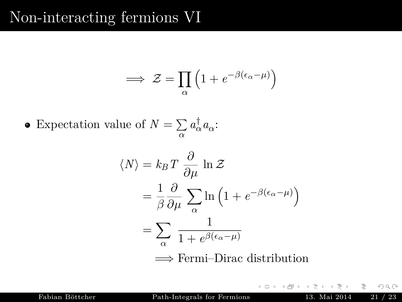$$
\implies \mathcal{Z} = \prod_{\alpha} \left( 1 + e^{-\beta(\epsilon_{\alpha} - \mu)} \right)
$$

Expectation value of  $N = \sum$  $\sum_{\alpha} a_{\alpha}^{\dagger} a_{\alpha}$ :

$$
\langle N \rangle = k_B T \frac{\partial}{\partial \mu} \ln \mathcal{Z}
$$
  
=  $\frac{1}{\beta} \frac{\partial}{\partial \mu} \sum_{\alpha} \ln \left( 1 + e^{-\beta (\epsilon_{\alpha} - \mu)} \right)$   
=  $\sum_{\alpha} \frac{1}{1 + e^{\beta (\epsilon_{\alpha} - \mu)}}$   
 $\implies$  Fermi-Dirac distribution

 $\leftarrow$ 

Fabian Böttcher [Path-Integrals for Fermions](#page-0-0) 13. Mai 2014 21 / 23

目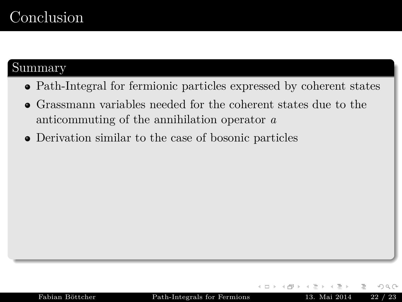## <span id="page-68-0"></span>Conclusion

#### Summary

- Path-Integral for fermionic particles expressed by coherent states
- Grassmann variables needed for the coherent states due to the anticommuting of the annihilation operator *a*
- Derivation similar to the case of bosonic particles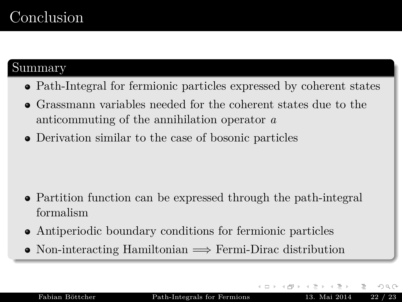## Conclusion

#### Summary

- Path-Integral for fermionic particles expressed by coherent states
- Grassmann variables needed for the coherent states due to the anticommuting of the annihilation operator *a*
- Derivation similar to the case of bosonic particles

- Partition function can be expressed through the path-integral formalism
- Antiperiodic boundary conditions for fermionic particles
- Non-interacting Hamiltonian =⇒ Fermi-Dirac distribution